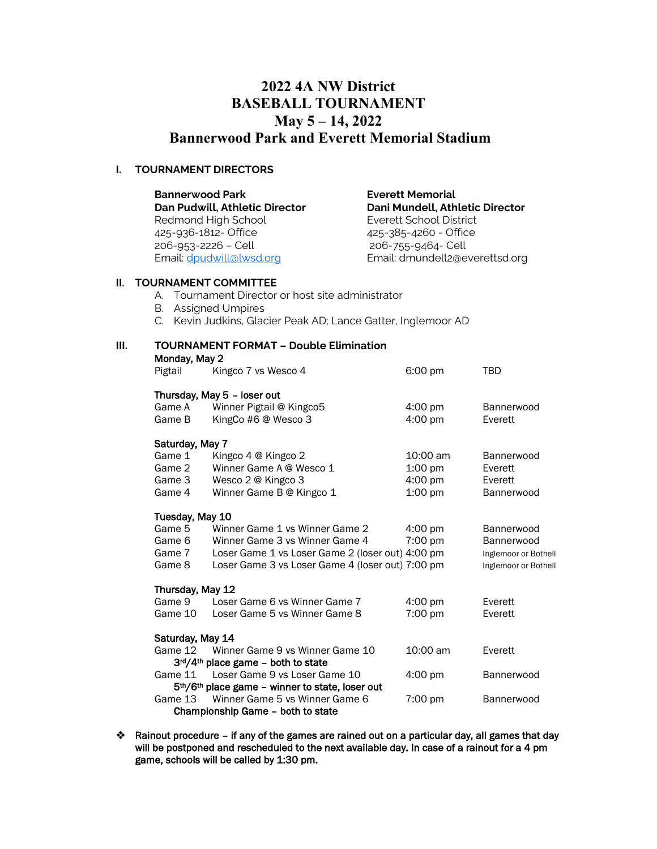# **2022 4A NW District BASEBALL TOURNAMENT May 5 – 14, 2022 Bannerwood Park and Everett Memorial Stadium**

## **I. TOURNAMENT DIRECTORS**

| <b>Bannerwood Park</b>         | <b>Everett Memorial</b>         |  |  |
|--------------------------------|---------------------------------|--|--|
| Dan Pudwill, Athletic Director | Dani Mundell, Athletic Director |  |  |
| Redmond High School            | Everett School District         |  |  |
| 425-936-1812- Office           | 425-385-4260 - Office           |  |  |
| 206-953-2226 - Cell            | 206-755-9464- Cell              |  |  |
| Email: dpudwill@lwsd.org       | Email: dmundell2@everettsd.org  |  |  |
|                                |                                 |  |  |
| AUBULI LIPLIT AALILIITTP       |                                 |  |  |

## **II. TOURNAMENT COMMITTEE**

- A. Tournament Director or host site administrator
- B. Assigned Umpires
- C. Kevin Judkins, Glacier Peak AD; Lance Gatter, Inglemoor AD

| III. | <b>TOURNAMENT FORMAT - Double Elimination</b><br>Monday, May 2 |                                                                          |                                        |                       |  |  |  |  |
|------|----------------------------------------------------------------|--------------------------------------------------------------------------|----------------------------------------|-----------------------|--|--|--|--|
|      | Pigtail                                                        | Kingco 7 vs Wesco 4                                                      | 6:00 pm                                | <b>TBD</b>            |  |  |  |  |
|      |                                                                | Thursday, May 5 - loser out                                              |                                        |                       |  |  |  |  |
|      | Game A<br>Game B                                               | Winner Pigtail @ Kingco5<br>KingCo #6 @ Wesco 3                          | $4:00 \text{ pm}$<br>$4:00 \text{ pm}$ | Bannerwood<br>Everett |  |  |  |  |
|      |                                                                | Saturday, May 7                                                          |                                        |                       |  |  |  |  |
|      | Game 1<br>Game 2                                               | Kingco 4 @ Kingco 2<br>Winner Game A @ Wesco 1                           | 10:00 am                               | Bannerwood<br>Everett |  |  |  |  |
|      | Game 3                                                         | Wesco 2 @ Kingco 3                                                       | $1:00$ pm<br>$4:00 \text{ pm}$         | Everett               |  |  |  |  |
|      | Game 4                                                         | Winner Game B @ Kingco 1                                                 | $1:00$ pm                              | Bannerwood            |  |  |  |  |
|      |                                                                | Tuesday, May 10                                                          |                                        |                       |  |  |  |  |
|      | Game 5                                                         | Winner Game 1 vs Winner Game 2                                           | $4:00 \text{ pm}$                      | Bannerwood            |  |  |  |  |
|      | Game 6                                                         | Winner Game 3 vs Winner Game 4                                           | 7:00 pm                                | Bannerwood            |  |  |  |  |
|      | Game 7                                                         | Loser Game 1 vs Loser Game 2 (loser out) 4:00 pm                         |                                        | Inglemoor or Bothell  |  |  |  |  |
|      | Game 8                                                         | Loser Game 3 vs Loser Game 4 (loser out) 7:00 pm                         |                                        | Inglemoor or Bothell  |  |  |  |  |
|      | Thursday, May 12                                               |                                                                          |                                        |                       |  |  |  |  |
|      | Game 9                                                         | Loser Game 6 vs Winner Game 7                                            | $4:00 \text{ pm}$                      | Everett               |  |  |  |  |
|      | Game 10                                                        | Loser Game 5 vs Winner Game 8                                            | 7:00 pm                                | Everett               |  |  |  |  |
|      |                                                                | Saturday, May 14                                                         |                                        |                       |  |  |  |  |
|      | Game 12                                                        | Winner Game 9 vs Winner Game 10<br>$3rd/4th$ place game – both to state  | 10:00 am                               | Everett               |  |  |  |  |
|      | Game 11                                                        | Loser Game 9 vs Loser Game 10                                            | $4:00 \text{ pm}$                      | Bannerwood            |  |  |  |  |
|      |                                                                | 5 <sup>th</sup> /6 <sup>th</sup> place game - winner to state, loser out |                                        |                       |  |  |  |  |
|      | Game 13                                                        | Winner Game 5 vs Winner Game 6                                           | $7:00 \text{ pm}$                      | <b>Bannerwood</b>     |  |  |  |  |

- Championship Game both to state
- ❖ Rainout procedure if any of the games are rained out on a particular day, all games that day will be postponed and rescheduled to the next available day. In case of a rainout for a 4 pm game, schools will be called by 1:30 pm.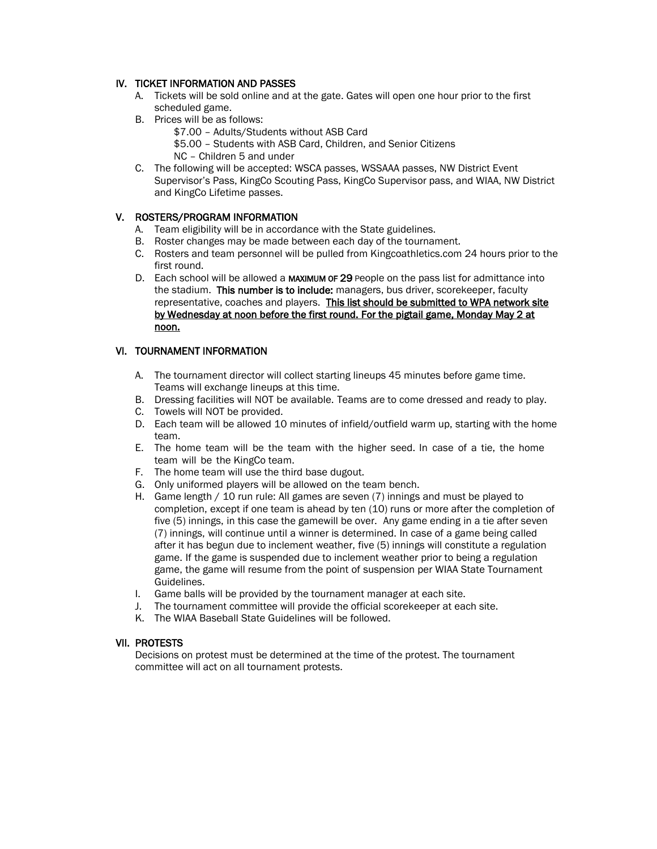## IV. TICKET INFORMATION AND PASSES

- A. Tickets will be sold online and at the gate. Gates will open one hour prior to the first scheduled game.
- B. Prices will be as follows:
	- \$7.00 Adults/Students without ASB Card

\$5.00 – Students with ASB Card, Children, and Senior Citizens

- NC Children 5 and under
- C. The following will be accepted: WSCA passes, WSSAAA passes, NW District Event Supervisor's Pass, KingCo Scouting Pass, KingCo Supervisor pass, and WIAA, NW District and KingCo Lifetime passes.

## V. ROSTERS/PROGRAM INFORMATION

- A. Team eligibility will be in accordance with the State guidelines.
- B. Roster changes may be made between each day of the tournament.
- C. Rosters and team personnel will be pulled from Kingcoathletics.com 24 hours prior to the first round.
- D. Each school will be allowed a MAXIMUM OF 29 People on the pass list for admittance into the stadium. This number is to include: managers, bus driver, scorekeeper, faculty representative, coaches and players. This list should be submitted to WPA network site by Wednesday at noon before the first round. For the pigtail game, Monday May 2 at noon.

## VI. TOURNAMENT INFORMATION

- A. The tournament director will collect starting lineups 45 minutes before game time. Teams will exchange lineups at this time.
- B. Dressing facilities will NOT be available. Teams are to come dressed and ready to play.
- C. Towels will NOT be provided.
- D. Each team will be allowed 10 minutes of infield/outfield warm up, starting with the home team.
- E. The home team will be the team with the higher seed. In case of a tie, the home team will be the KingCo team.
- F. The home team will use the third base dugout.
- G. Only uniformed players will be allowed on the team bench.
- H. Game length / 10 run rule: All games are seven (7) innings and must be played to completion, except if one team is ahead by ten (10) runs or more after the completion of five (5) innings, in this case the gamewill be over. Any game ending in a tie after seven (7) innings, will continue until a winner is determined. In case of a game being called after it has begun due to inclement weather, five (5) innings will constitute a regulation game. If the game is suspended due to inclement weather prior to being a regulation game, the game will resume from the point of suspension per WIAA State Tournament Guidelines.
- I. Game balls will be provided by the tournament manager at each site.
- J. The tournament committee will provide the official scorekeeper at each site.
- K. The WIAA Baseball State Guidelines will be followed.

#### VII. PROTESTS

Decisions on protest must be determined at the time of the protest. The tournament committee will act on all tournament protests.